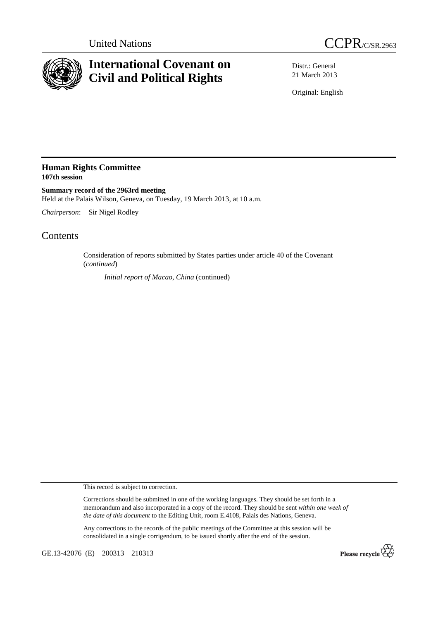



## **International Covenant on Civil and Political Rights**

Distr.: General 21 March 2013

Original: English

## **Human Rights Committee 107th session**

**Summary record of the 2963rd meeting**  Held at the Palais Wilson, Geneva, on Tuesday, 19 March 2013, at 10 a.m.

*Chairperson*: Sir Nigel Rodley

## Contents

Consideration of reports submitted by States parties under article 40 of the Covenant (*continued*)

*Initial report of Macao, China* (continued)

This record is subject to correction.

Corrections should be submitted in one of the working languages. They should be set forth in a memorandum and also incorporated in a copy of the record. They should be sent *within one week of the date of this document* to the Editing Unit, room E.4108, Palais des Nations, Geneva.

Any corrections to the records of the public meetings of the Committee at this session will be consolidated in a single corrigendum, to be issued shortly after the end of the session.

GE.13-42076 (E) 200313 210313

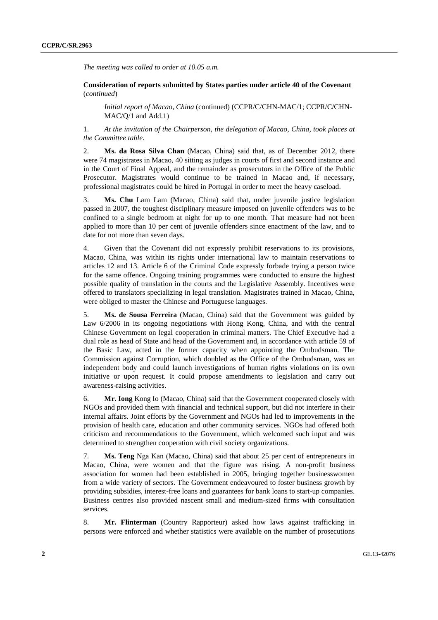*The meeting was called to order at 10.05 a.m.* 

 **Consideration of reports submitted by States parties under article 40 of the Covenant**  (*continued*)

*Initial report of Macao, China* (continued) (CCPR/C/CHN-MAC/1; CCPR/C/CHN-MAC/Q/1 and Add.1)

1. *At the invitation of the Chairperson, the delegation of Macao, China, took places at the Committee table.* 

2. **Ms. da Rosa Silva Chan** (Macao, China) said that, as of December 2012, there were 74 magistrates in Macao, 40 sitting as judges in courts of first and second instance and in the Court of Final Appeal, and the remainder as prosecutors in the Office of the Public Prosecutor. Magistrates would continue to be trained in Macao and, if necessary, professional magistrates could be hired in Portugal in order to meet the heavy caseload.

3. **Ms. Chu** Lam Lam (Macao, China) said that, under juvenile justice legislation passed in 2007, the toughest disciplinary measure imposed on juvenile offenders was to be confined to a single bedroom at night for up to one month. That measure had not been applied to more than 10 per cent of juvenile offenders since enactment of the law, and to date for not more than seven days.

4. Given that the Covenant did not expressly prohibit reservations to its provisions, Macao, China, was within its rights under international law to maintain reservations to articles 12 and 13. Article 6 of the Criminal Code expressly forbade trying a person twice for the same offence. Ongoing training programmes were conducted to ensure the highest possible quality of translation in the courts and the Legislative Assembly. Incentives were offered to translators specializing in legal translation. Magistrates trained in Macao, China, were obliged to master the Chinese and Portuguese languages.

5. **Ms. de Sousa Ferreira** (Macao, China) said that the Government was guided by Law 6/2006 in its ongoing negotiations with Hong Kong, China, and with the central Chinese Government on legal cooperation in criminal matters. The Chief Executive had a dual role as head of State and head of the Government and, in accordance with article 59 of the Basic Law, acted in the former capacity when appointing the Ombudsman. The Commission against Corruption, which doubled as the Office of the Ombudsman, was an independent body and could launch investigations of human rights violations on its own initiative or upon request. It could propose amendments to legislation and carry out awareness-raising activities.

6. **Mr. Iong** Kong Io (Macao, China) said that the Government cooperated closely with NGOs and provided them with financial and technical support, but did not interfere in their internal affairs. Joint efforts by the Government and NGOs had led to improvements in the provision of health care, education and other community services. NGOs had offered both criticism and recommendations to the Government, which welcomed such input and was determined to strengthen cooperation with civil society organizations.

7. **Ms. Teng** Nga Kan (Macao, China) said that about 25 per cent of entrepreneurs in Macao, China, were women and that the figure was rising. A non-profit business association for women had been established in 2005, bringing together businesswomen from a wide variety of sectors. The Government endeavoured to foster business growth by providing subsidies, interest-free loans and guarantees for bank loans to start-up companies. Business centres also provided nascent small and medium-sized firms with consultation services.

8. **Mr. Flinterman** (Country Rapporteur) asked how laws against trafficking in persons were enforced and whether statistics were available on the number of prosecutions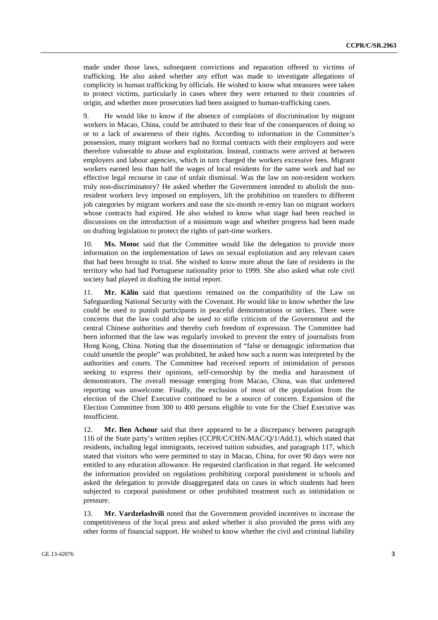made under those laws, subsequent convictions and reparation offered to victims of trafficking. He also asked whether any effort was made to investigate allegations of complicity in human trafficking by officials. He wished to know what measures were taken to protect victims, particularly in cases where they were returned to their countries of origin, and whether more prosecutors had been assigned to human-trafficking cases.

9. He would like to know if the absence of complaints of discrimination by migrant workers in Macao, China, could be attributed to their fear of the consequences of doing so or to a lack of awareness of their rights. According to information in the Committee's possession, many migrant workers had no formal contracts with their employers and were therefore vulnerable to abuse and exploitation. Instead, contracts were arrived at between employers and labour agencies, which in turn charged the workers excessive fees. Migrant workers earned less than half the wages of local residents for the same work and had no effective legal recourse in case of unfair dismissal. Was the law on non-resident workers truly non-discriminatory? He asked whether the Government intended to abolish the nonresident workers levy imposed on employers, lift the prohibition on transfers to different job categories by migrant workers and ease the six-month re-entry ban on migrant workers whose contracts had expired. He also wished to know what stage had been reached in discussions on the introduction of a minimum wage and whether progress had been made on drafting legislation to protect the rights of part-time workers.

10. **Ms. Motoc** said that the Committee would like the delegation to provide more information on the implementation of laws on sexual exploitation and any relevant cases that had been brought to trial. She wished to know more about the fate of residents in the territory who had had Portuguese nationality prior to 1999. She also asked what role civil society had played in drafting the initial report.

11. **Mr. Kälin** said that questions remained on the compatibility of the Law on Safeguarding National Security with the Covenant. He would like to know whether the law could be used to punish participants in peaceful demonstrations or strikes. There were concerns that the law could also be used to stifle criticism of the Government and the central Chinese authorities and thereby curb freedom of expression. The Committee had been informed that the law was regularly invoked to prevent the entry of journalists from Hong Kong, China. Noting that the dissemination of "false or demagogic information that could unsettle the people" was prohibited, he asked how such a norm was interpreted by the authorities and courts. The Committee had received reports of intimidation of persons seeking to express their opinions, self-censorship by the media and harassment of demonstrators. The overall message emerging from Macao, China, was that unfettered reporting was unwelcome. Finally, the exclusion of most of the population from the election of the Chief Executive continued to be a source of concern. Expansion of the Election Committee from 300 to 400 persons eligible to vote for the Chief Executive was insufficient.

12. **Mr. Ben Achour** said that there appeared to be a discrepancy between paragraph 116 of the State party's written replies (CCPR/C/CHN-MAC/Q/1/Add.1), which stated that residents, including legal immigrants, received tuition subsidies, and paragraph 117, which stated that visitors who were permitted to stay in Macao, China, for over 90 days were not entitled to any education allowance. He requested clarification in that regard. He welcomed the information provided on regulations prohibiting corporal punishment in schools and asked the delegation to provide disaggregated data on cases in which students had been subjected to corporal punishment or other prohibited treatment such as intimidation or pressure.

13. **Mr. Vardzelashvili** noted that the Government provided incentives to increase the competitiveness of the local press and asked whether it also provided the press with any other forms of financial support. He wished to know whether the civil and criminal liability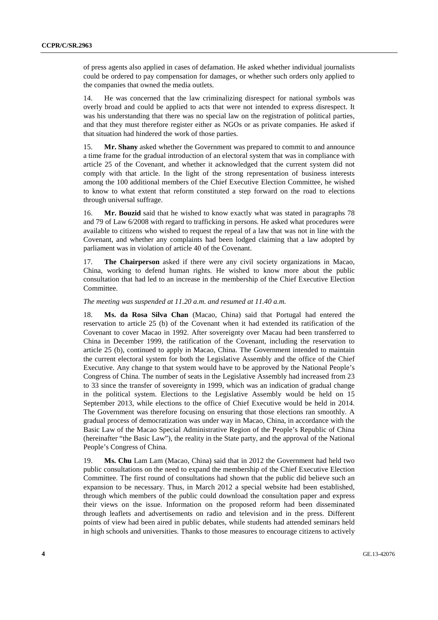of press agents also applied in cases of defamation. He asked whether individual journalists could be ordered to pay compensation for damages, or whether such orders only applied to the companies that owned the media outlets.

14. He was concerned that the law criminalizing disrespect for national symbols was overly broad and could be applied to acts that were not intended to express disrespect. It was his understanding that there was no special law on the registration of political parties, and that they must therefore register either as NGOs or as private companies. He asked if that situation had hindered the work of those parties.

15. **Mr. Shany** asked whether the Government was prepared to commit to and announce a time frame for the gradual introduction of an electoral system that was in compliance with article 25 of the Covenant, and whether it acknowledged that the current system did not comply with that article. In the light of the strong representation of business interests among the 100 additional members of the Chief Executive Election Committee, he wished to know to what extent that reform constituted a step forward on the road to elections through universal suffrage.

16. **Mr. Bouzid** said that he wished to know exactly what was stated in paragraphs 78 and 79 of Law 6/2008 with regard to trafficking in persons. He asked what procedures were available to citizens who wished to request the repeal of a law that was not in line with the Covenant, and whether any complaints had been lodged claiming that a law adopted by parliament was in violation of article 40 of the Covenant.

17. **The Chairperson** asked if there were any civil society organizations in Macao, China, working to defend human rights. He wished to know more about the public consultation that had led to an increase in the membership of the Chief Executive Election Committee.

## *The meeting was suspended at 11.20 a.m. and resumed at 11.40 a.m.*

18. **Ms. da Rosa Silva Chan** (Macao, China) said that Portugal had entered the reservation to article 25 (b) of the Covenant when it had extended its ratification of the Covenant to cover Macao in 1992. After sovereignty over Macau had been transferred to China in December 1999, the ratification of the Covenant, including the reservation to article 25 (b), continued to apply in Macao, China. The Government intended to maintain the current electoral system for both the Legislative Assembly and the office of the Chief Executive. Any change to that system would have to be approved by the National People's Congress of China. The number of seats in the Legislative Assembly had increased from 23 to 33 since the transfer of sovereignty in 1999, which was an indication of gradual change in the political system. Elections to the Legislative Assembly would be held on 15 September 2013, while elections to the office of Chief Executive would be held in 2014. The Government was therefore focusing on ensuring that those elections ran smoothly. A gradual process of democratization was under way in Macao, China, in accordance with the Basic Law of the Macao Special Administrative Region of the People's Republic of China (hereinafter "the Basic Law"), the reality in the State party, and the approval of the National People's Congress of China.

19. **Ms. Chu** Lam Lam (Macao, China) said that in 2012 the Government had held two public consultations on the need to expand the membership of the Chief Executive Election Committee. The first round of consultations had shown that the public did believe such an expansion to be necessary. Thus, in March 2012 a special website had been established, through which members of the public could download the consultation paper and express their views on the issue. Information on the proposed reform had been disseminated through leaflets and advertisements on radio and television and in the press. Different points of view had been aired in public debates, while students had attended seminars held in high schools and universities. Thanks to those measures to encourage citizens to actively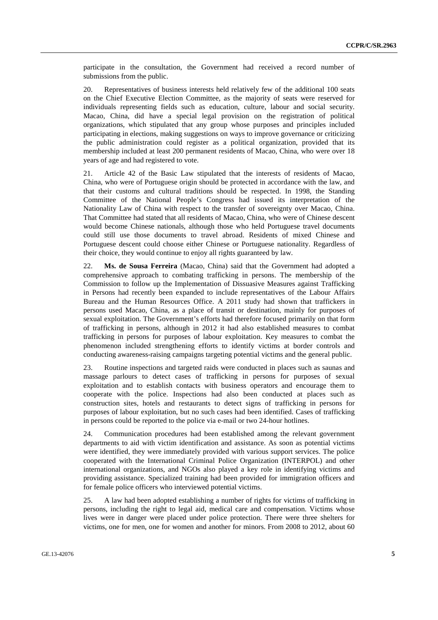participate in the consultation, the Government had received a record number of submissions from the public.

20. Representatives of business interests held relatively few of the additional 100 seats on the Chief Executive Election Committee, as the majority of seats were reserved for individuals representing fields such as education, culture, labour and social security. Macao, China, did have a special legal provision on the registration of political organizations, which stipulated that any group whose purposes and principles included participating in elections, making suggestions on ways to improve governance or criticizing the public administration could register as a political organization, provided that its membership included at least 200 permanent residents of Macao, China, who were over 18 years of age and had registered to vote.

21. Article 42 of the Basic Law stipulated that the interests of residents of Macao, China, who were of Portuguese origin should be protected in accordance with the law, and that their customs and cultural traditions should be respected. In 1998, the Standing Committee of the National People's Congress had issued its interpretation of the Nationality Law of China with respect to the transfer of sovereignty over Macao, China. That Committee had stated that all residents of Macao, China, who were of Chinese descent would become Chinese nationals, although those who held Portuguese travel documents could still use those documents to travel abroad. Residents of mixed Chinese and Portuguese descent could choose either Chinese or Portuguese nationality. Regardless of their choice, they would continue to enjoy all rights guaranteed by law.

22. **Ms. de Sousa Ferreira** (Macao, China) said that the Government had adopted a comprehensive approach to combating trafficking in persons. The membership of the Commission to follow up the Implementation of Dissuasive Measures against Trafficking in Persons had recently been expanded to include representatives of the Labour Affairs Bureau and the Human Resources Office. A 2011 study had shown that traffickers in persons used Macao, China, as a place of transit or destination, mainly for purposes of sexual exploitation. The Government's efforts had therefore focused primarily on that form of trafficking in persons, although in 2012 it had also established measures to combat trafficking in persons for purposes of labour exploitation. Key measures to combat the phenomenon included strengthening efforts to identify victims at border controls and conducting awareness-raising campaigns targeting potential victims and the general public.

23. Routine inspections and targeted raids were conducted in places such as saunas and massage parlours to detect cases of trafficking in persons for purposes of sexual exploitation and to establish contacts with business operators and encourage them to cooperate with the police. Inspections had also been conducted at places such as construction sites, hotels and restaurants to detect signs of trafficking in persons for purposes of labour exploitation, but no such cases had been identified. Cases of trafficking in persons could be reported to the police via e-mail or two 24-hour hotlines.

24. Communication procedures had been established among the relevant government departments to aid with victim identification and assistance. As soon as potential victims were identified, they were immediately provided with various support services. The police cooperated with the International Criminal Police Organization (INTERPOL) and other international organizations, and NGOs also played a key role in identifying victims and providing assistance. Specialized training had been provided for immigration officers and for female police officers who interviewed potential victims.

25. A law had been adopted establishing a number of rights for victims of trafficking in persons, including the right to legal aid, medical care and compensation. Victims whose lives were in danger were placed under police protection. There were three shelters for victims, one for men, one for women and another for minors. From 2008 to 2012, about 60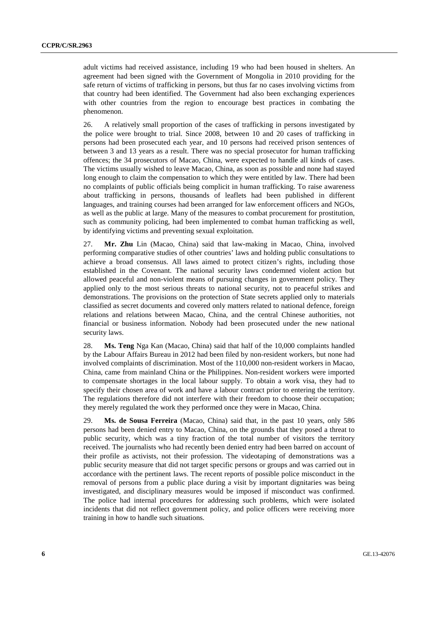adult victims had received assistance, including 19 who had been housed in shelters. An agreement had been signed with the Government of Mongolia in 2010 providing for the safe return of victims of trafficking in persons, but thus far no cases involving victims from that country had been identified. The Government had also been exchanging experiences with other countries from the region to encourage best practices in combating the phenomenon.

26. A relatively small proportion of the cases of trafficking in persons investigated by the police were brought to trial. Since 2008, between 10 and 20 cases of trafficking in persons had been prosecuted each year, and 10 persons had received prison sentences of between 3 and 13 years as a result. There was no special prosecutor for human trafficking offences; the 34 prosecutors of Macao, China, were expected to handle all kinds of cases. The victims usually wished to leave Macao, China, as soon as possible and none had stayed long enough to claim the compensation to which they were entitled by law. There had been no complaints of public officials being complicit in human trafficking. To raise awareness about trafficking in persons, thousands of leaflets had been published in different languages, and training courses had been arranged for law enforcement officers and NGOs, as well as the public at large. Many of the measures to combat procurement for prostitution, such as community policing, had been implemented to combat human trafficking as well, by identifying victims and preventing sexual exploitation.

27. **Mr. Zhu** Lin (Macao, China) said that law-making in Macao, China, involved performing comparative studies of other countries' laws and holding public consultations to achieve a broad consensus. All laws aimed to protect citizen's rights, including those established in the Covenant. The national security laws condemned violent action but allowed peaceful and non-violent means of pursuing changes in government policy. They applied only to the most serious threats to national security, not to peaceful strikes and demonstrations. The provisions on the protection of State secrets applied only to materials classified as secret documents and covered only matters related to national defence, foreign relations and relations between Macao, China, and the central Chinese authorities, not financial or business information. Nobody had been prosecuted under the new national security laws.

28. **Ms. Teng** Nga Kan (Macao, China) said that half of the 10,000 complaints handled by the Labour Affairs Bureau in 2012 had been filed by non-resident workers, but none had involved complaints of discrimination. Most of the 110,000 non-resident workers in Macao, China, came from mainland China or the Philippines. Non-resident workers were imported to compensate shortages in the local labour supply. To obtain a work visa, they had to specify their chosen area of work and have a labour contract prior to entering the territory. The regulations therefore did not interfere with their freedom to choose their occupation; they merely regulated the work they performed once they were in Macao, China.

29. **Ms. de Sousa Ferreira** (Macao, China) said that, in the past 10 years, only 586 persons had been denied entry to Macao, China, on the grounds that they posed a threat to public security, which was a tiny fraction of the total number of visitors the territory received. The journalists who had recently been denied entry had been barred on account of their profile as activists, not their profession. The videotaping of demonstrations was a public security measure that did not target specific persons or groups and was carried out in accordance with the pertinent laws. The recent reports of possible police misconduct in the removal of persons from a public place during a visit by important dignitaries was being investigated, and disciplinary measures would be imposed if misconduct was confirmed. The police had internal procedures for addressing such problems, which were isolated incidents that did not reflect government policy, and police officers were receiving more training in how to handle such situations.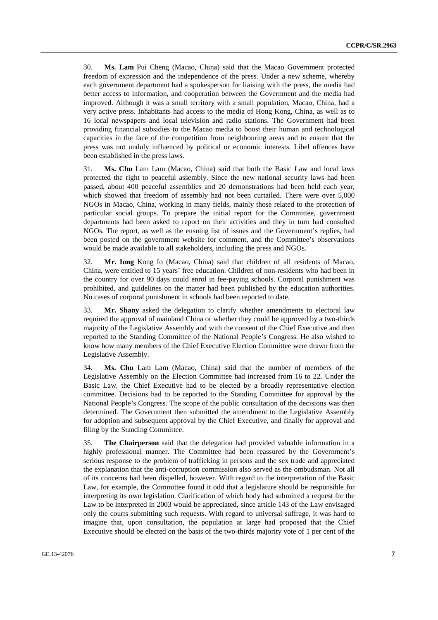30. **Ms. Lam** Pui Cheng (Macao, China) said that the Macao Government protected freedom of expression and the independence of the press. Under a new scheme, whereby each government department had a spokesperson for liaising with the press, the media had better access to information, and cooperation between the Government and the media had improved. Although it was a small territory with a small population, Macao, China, had a very active press. Inhabitants had access to the media of Hong Kong, China, as well as to 16 local newspapers and local television and radio stations. The Government had been providing financial subsidies to the Macao media to boost their human and technological capacities in the face of the competition from neighbouring areas and to ensure that the press was not unduly influenced by political or economic interests. Libel offences have been established in the press laws.

31. **Ms. Chu** Lam Lam (Macao, China) said that both the Basic Law and local laws protected the right to peaceful assembly. Since the new national security laws had been passed, about 400 peaceful assemblies and 20 demonstrations had been held each year, which showed that freedom of assembly had not been curtailed. There were over 5,000 NGOs in Macao, China, working in many fields, mainly those related to the protection of particular social groups. To prepare the initial report for the Committee, government departments had been asked to report on their activities and they in turn had consulted NGOs. The report, as well as the ensuing list of issues and the Government's replies, had been posted on the government website for comment, and the Committee's observations would be made available to all stakeholders, including the press and NGOs.

32. **Mr. Iong** Kong Io (Macao, China) said that children of all residents of Macao, China, were entitled to 15 years' free education. Children of non-residents who had been in the country for over 90 days could enrol in fee-paying schools. Corporal punishment was prohibited, and guidelines on the matter had been published by the education authorities. No cases of corporal punishment in schools had been reported to date.

33. **Mr. Shany** asked the delegation to clarify whether amendments to electoral law required the approval of mainland China or whether they could be approved by a two-thirds majority of the Legislative Assembly and with the consent of the Chief Executive and then reported to the Standing Committee of the National People's Congress. He also wished to know how many members of the Chief Executive Election Committee were drawn from the Legislative Assembly.

34. **Ms. Chu** Lam Lam (Macao, China) said that the number of members of the Legislative Assembly on the Election Committee had increased from 16 to 22. Under the Basic Law, the Chief Executive had to be elected by a broadly representative election committee. Decisions had to be reported to the Standing Committee for approval by the National People's Congress. The scope of the public consultation of the decisions was then determined. The Government then submitted the amendment to the Legislative Assembly for adoption and subsequent approval by the Chief Executive, and finally for approval and filing by the Standing Committee.

35. **The Chairperson** said that the delegation had provided valuable information in a highly professional manner. The Committee had been reassured by the Government's serious response to the problem of trafficking in persons and the sex trade and appreciated the explanation that the anti-corruption commission also served as the ombudsman. Not all of its concerns had been dispelled, however. With regard to the interpretation of the Basic Law, for example, the Committee found it odd that a legislature should be responsible for interpreting its own legislation. Clarification of which body had submitted a request for the Law to be interpreted in 2003 would be appreciated, since article 143 of the Law envisaged only the courts submitting such requests. With regard to universal suffrage, it was hard to imagine that, upon consultation, the population at large had proposed that the Chief Executive should be elected on the basis of the two-thirds majority vote of 1 per cent of the